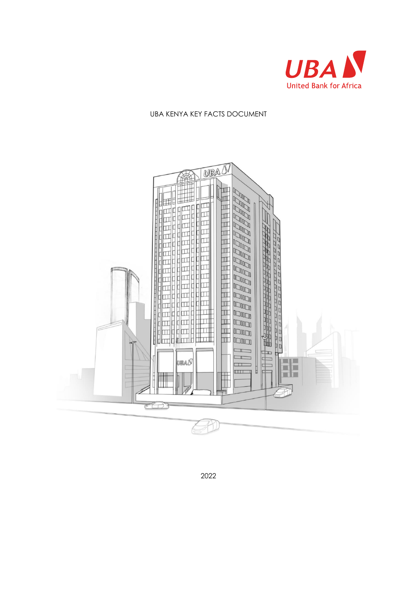

#### UBA KENYA KEY FACTS DOCUMENT



2022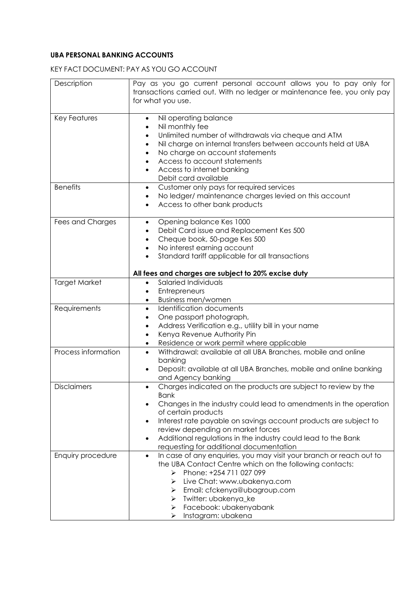## **UBA PERSONAL BANKING ACCOUNTS**

# KEY FACT DOCUMENT: PAY AS YOU GO ACCOUNT

| Description          | Pay as you go current personal account allows you to pay only for<br>transactions carried out. With no ledger or maintenance fee, you only pay<br>for what you use.                                                                                                                                                                                                                                                   |
|----------------------|-----------------------------------------------------------------------------------------------------------------------------------------------------------------------------------------------------------------------------------------------------------------------------------------------------------------------------------------------------------------------------------------------------------------------|
| Key Features         | Nil operating balance<br>$\bullet$<br>Nil monthly fee<br>$\bullet$<br>Unlimited number of withdrawals via cheque and ATM<br>$\bullet$<br>Nil charge on internal transfers between accounts held at UBA<br>$\bullet$<br>No charge on account statements<br>$\bullet$<br>Access to account statements<br>$\bullet$<br>Access to internet banking<br>Debit card available                                                |
| <b>Benefits</b>      | Customer only pays for required services<br>$\bullet$<br>No ledger/ maintenance charges levied on this account<br>٠<br>Access to other bank products<br>٠                                                                                                                                                                                                                                                             |
| Fees and Charges     | Opening balance Kes 1000<br>$\bullet$<br>Debit Card issue and Replacement Kes 500<br>$\bullet$<br>Cheque book, 50-page Kes 500<br>$\bullet$<br>No interest earning account<br>$\bullet$<br>Standard tariff applicable for all transactions<br>$\bullet$                                                                                                                                                               |
|                      | All fees and charges are subject to 20% excise duty                                                                                                                                                                                                                                                                                                                                                                   |
| <b>Target Market</b> | Salaried Individuals<br>$\bullet$<br>Entrepreneurs<br>$\bullet$<br><b>Business men/women</b><br>$\bullet$                                                                                                                                                                                                                                                                                                             |
| Requirements         | Identification documents<br>$\bullet$<br>One passport photograph,<br>$\bullet$<br>Address Verification e.g., utility bill in your name<br>$\bullet$<br>Kenya Revenue Authority Pin<br>$\bullet$<br>Residence or work permit where applicable<br>٠                                                                                                                                                                     |
| Process information  | Withdrawal: available at all UBA Branches, mobile and online<br>$\bullet$<br>banking<br>Deposit: available at all UBA Branches, mobile and online banking<br>$\bullet$<br>and Agency banking                                                                                                                                                                                                                          |
| <b>Disclaimers</b>   | Charges indicated on the products are subject to review by the<br>$\bullet$<br><b>Bank</b><br>Changes in the industry could lead to amendments in the operation<br>of certain products<br>Interest rate payable on savings account products are subject to<br>٠<br>review depending on market forces<br>Additional regulations in the industry could lead to the Bank<br>٠<br>requesting for additional documentation |
| Enquiry procedure    | In case of any enquiries, you may visit your branch or reach out to<br>$\bullet$<br>the UBA Contact Centre which on the following contacts:<br>Phone: +254 711 027 099<br>⋗<br>Live Chat: www.ubakenya.com<br>⋗<br>Email: cfckenya@ubagroup.com<br>⋗<br>Twitter: ubakenya_ke<br>➤<br>Facebook: ubakenyabank<br>➤<br>Instagram: ubakena<br>➤                                                                           |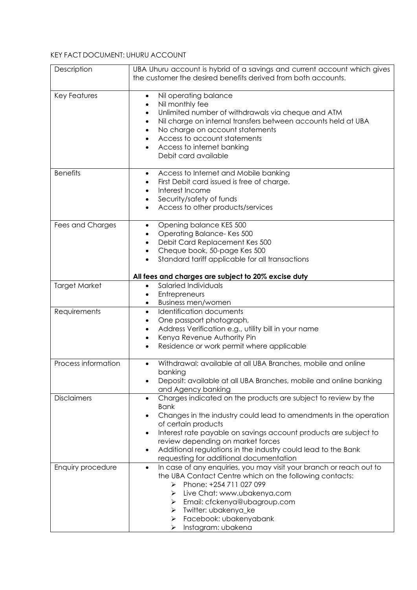# KEY FACT DOCUMENT: UHURU ACCOUNT

| Description          | UBA Uhuru account is hybrid of a savings and current account which gives<br>the customer the desired benefits derived from both accounts.                                                                                                                                                                                                                                                                                     |
|----------------------|-------------------------------------------------------------------------------------------------------------------------------------------------------------------------------------------------------------------------------------------------------------------------------------------------------------------------------------------------------------------------------------------------------------------------------|
| <b>Key Features</b>  | Nil operating balance<br>$\bullet$<br>Nil monthly fee<br>$\bullet$<br>Unlimited number of withdrawals via cheque and ATM<br>$\bullet$<br>Nil charge on internal transfers between accounts held at UBA<br>$\bullet$<br>No charge on account statements<br>$\bullet$<br>Access to account statements<br>$\bullet$<br>Access to internet banking<br>Debit card available                                                        |
| <b>Benefits</b>      | Access to Internet and Mobile banking<br>$\bullet$<br>First Debit card issued is free of charge.<br>$\bullet$<br>Interest Income<br>$\bullet$<br>Security/safety of funds<br>$\bullet$<br>Access to other products/services<br>$\bullet$                                                                                                                                                                                      |
| Fees and Charges     | Opening balance KES 500<br>$\bullet$<br>Operating Balance-Kes 500<br>$\bullet$<br>Debit Card Replacement Kes 500<br>$\bullet$<br>Cheque book, 50-page Kes 500<br>$\bullet$<br>Standard tariff applicable for all transactions<br>All fees and charges are subject to 20% excise duty                                                                                                                                          |
| <b>Target Market</b> | Salaried Individuals<br>$\bullet$<br>Entrepreneurs<br>٠<br><b>Business men/women</b><br>$\bullet$                                                                                                                                                                                                                                                                                                                             |
| Requirements         | <b>Identification documents</b><br>$\bullet$<br>One passport photograph,<br>$\bullet$<br>Address Verification e.g., utility bill in your name<br>$\bullet$<br>Kenya Revenue Authority Pin<br>$\bullet$<br>Residence or work permit where applicable<br>$\bullet$                                                                                                                                                              |
| Process information  | Withdrawal: available at all UBA Branches, mobile and online<br>$\bullet$<br>banking<br>Deposit: available at all UBA Branches, mobile and online banking<br>and Agency banking                                                                                                                                                                                                                                               |
| <b>Disclaimers</b>   | Charges indicated on the products are subject to review by the<br>$\bullet$<br><b>Bank</b><br>Changes in the industry could lead to amendments in the operation<br>of certain products<br>Interest rate payable on savings account products are subject to<br>٠<br>review depending on market forces<br>Additional regulations in the industry could lead to the Bank<br>$\bullet$<br>requesting for additional documentation |
| Enquiry procedure    | In case of any enquiries, you may visit your branch or reach out to<br>$\bullet$<br>the UBA Contact Centre which on the following contacts:<br>Phone: +254 711 027 099<br>➤<br>Live Chat: www.ubakenya.com<br>⋗<br>Email: cfckenya@ubagroup.com<br>➤<br>Twitter: ubakenya_ke<br>➤<br>Facebook: ubakenyabank<br>➤<br>Instagram: ubakena<br>➤                                                                                   |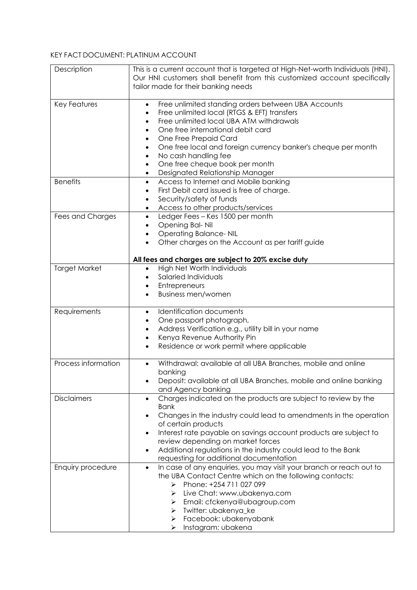## KEY FACT DOCUMENT: PLATINUM ACCOUNT

| Description          | This is a current account that is targeted at High-Net-worth Individuals (HNI).                  |
|----------------------|--------------------------------------------------------------------------------------------------|
|                      | Our HNI customers shall benefit from this customized account specifically                        |
|                      | tailor made for their banking needs                                                              |
| Key Features         | Free unlimited standing orders between UBA Accounts<br>$\bullet$                                 |
|                      | Free unlimited local (RTGS & EFT) transfers<br>$\bullet$                                         |
|                      | Free unlimited local UBA ATM withdrawals<br>$\bullet$                                            |
|                      | One free international debit card<br>٠                                                           |
|                      | One Free Prepaid Card<br>٠<br>One free local and foreign currency banker's cheque per month<br>٠ |
|                      | No cash handling fee<br>$\bullet$                                                                |
|                      | One free cheque book per month<br>$\bullet$                                                      |
|                      | Designated Relationship Manager<br>٠                                                             |
| <b>Benefits</b>      | Access to Internet and Mobile banking<br>$\bullet$                                               |
|                      | First Debit card issued is free of charge.<br>$\bullet$                                          |
|                      | Security/safety of funds<br>$\bullet$                                                            |
|                      | Access to other products/services<br>$\bullet$                                                   |
| Fees and Charges     | Ledger Fees - Kes 1500 per month<br>$\bullet$                                                    |
|                      | Opening Bal-Nil<br>$\bullet$                                                                     |
|                      | <b>Operating Balance- NIL</b><br>$\bullet$<br>Other charges on the Account as per tariff guide   |
|                      |                                                                                                  |
|                      | All fees and charges are subject to 20% excise duty                                              |
| <b>Target Market</b> | High Net Worth Individuals<br>$\bullet$                                                          |
|                      | Salaried Individuals                                                                             |
|                      | Entrepreneurs<br>٠                                                                               |
|                      | <b>Business men/women</b>                                                                        |
| Requirements         | <b>Identification documents</b><br>$\bullet$                                                     |
|                      | One passport photograph,<br>$\bullet$                                                            |
|                      | Address Verification e.g., utility bill in your name<br>$\bullet$                                |
|                      | Kenya Revenue Authority Pin<br>$\bullet$                                                         |
|                      | Residence or work permit where applicable<br>$\bullet$                                           |
| Process information  | Withdrawal: available at all UBA Branches, mobile and online<br>$\bullet$                        |
|                      | banking                                                                                          |
|                      | Deposit: available at all UBA Branches, mobile and online banking<br>$\bullet$                   |
|                      | and Agency banking                                                                               |
| <b>Disclaimers</b>   | Charges indicated on the products are subject to review by the<br>$\bullet$                      |
|                      | <b>Bank</b><br>Changes in the industry could lead to amendments in the operation                 |
|                      | of certain products                                                                              |
|                      | Interest rate payable on savings account products are subject to<br>٠                            |
|                      | review depending on market forces                                                                |
|                      | Additional regulations in the industry could lead to the Bank<br>$\bullet$                       |
|                      | requesting for additional documentation                                                          |
| Enquiry procedure    | In case of any enquiries, you may visit your branch or reach out to<br>$\bullet$                 |
|                      | the UBA Contact Centre which on the following contacts:                                          |
|                      | Phone: +254 711 027 099<br>➤                                                                     |
|                      | Live Chat: www.ubakenya.com<br>➤                                                                 |
|                      | Email: cfckenya@ubagroup.com<br>➤<br>Twitter: ubakenya_ke                                        |
|                      | ➤<br>Facebook: ubakenyabank<br>➤                                                                 |
|                      | Instagram: ubakena<br>➤                                                                          |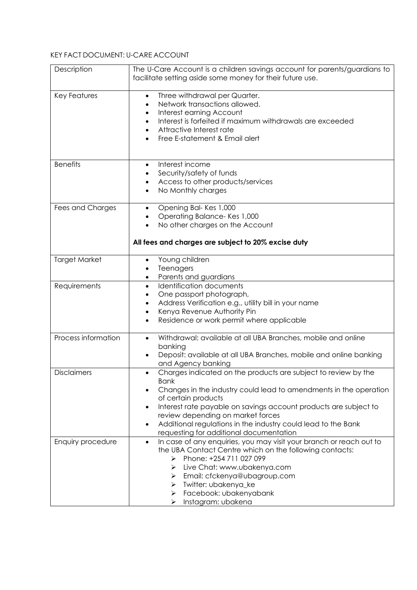# KEY FACT DOCUMENT: U-CARE ACCOUNT

| Description          | The U-Care Account is a children savings account for parents/guardians to<br>facilitate setting aside some money for their future use.                                                                                                                                                                                                                                                                                        |
|----------------------|-------------------------------------------------------------------------------------------------------------------------------------------------------------------------------------------------------------------------------------------------------------------------------------------------------------------------------------------------------------------------------------------------------------------------------|
| <b>Key Features</b>  | Three withdrawal per Quarter.<br>$\bullet$<br>Network transactions allowed.<br>Interest earning Account<br>٠<br>Interest is forfeited if maximum withdrawals are exceeded<br>$\bullet$<br>Attractive Interest rate<br>$\bullet$<br>Free E-statement & Email alert                                                                                                                                                             |
| <b>Benefits</b>      | Interest income<br>$\bullet$<br>Security/safety of funds<br>$\bullet$<br>Access to other products/services<br>$\bullet$<br>No Monthly charges<br>$\bullet$                                                                                                                                                                                                                                                                    |
| Fees and Charges     | Opening Bal-Kes 1,000<br>$\bullet$<br>Operating Balance-Kes 1,000<br>٠<br>No other charges on the Account<br>$\bullet$<br>All fees and charges are subject to 20% excise duty                                                                                                                                                                                                                                                 |
| <b>Target Market</b> | Young children<br>Teenagers<br>$\bullet$<br>Parents and guardians<br>$\bullet$                                                                                                                                                                                                                                                                                                                                                |
| Requirements         | Identification documents<br>$\bullet$<br>One passport photograph,<br>٠<br>Address Verification e.g., utility bill in your name<br>٠<br>Kenya Revenue Authority Pin<br>$\bullet$<br>Residence or work permit where applicable<br>$\bullet$                                                                                                                                                                                     |
| Process information  | Withdrawal: available at all UBA Branches, mobile and online<br>$\bullet$<br>banking<br>Deposit: available at all UBA Branches, mobile and online banking<br>and Agency banking                                                                                                                                                                                                                                               |
| <b>Disclaimers</b>   | Charges indicated on the products are subject to review by the<br>$\bullet$<br><b>Bank</b><br>Changes in the industry could lead to amendments in the operation<br>of certain products<br>Interest rate payable on savings account products are subject to<br>٠<br>review depending on market forces<br>Additional regulations in the industry could lead to the Bank<br>$\bullet$<br>requesting for additional documentation |
| Enquiry procedure    | In case of any enquiries, you may visit your branch or reach out to<br>$\bullet$<br>the UBA Contact Centre which on the following contacts:<br>Phone: +254 711 027 099<br>➤<br>Live Chat: www.ubakenya.com<br>⋗<br>Email: cfckenya@ubagroup.com<br>⋗<br>Twitter: ubakenya_ke<br>➤<br>Facebook: ubakenyabank<br>➤<br>Instagram: ubakena<br>➤                                                                                   |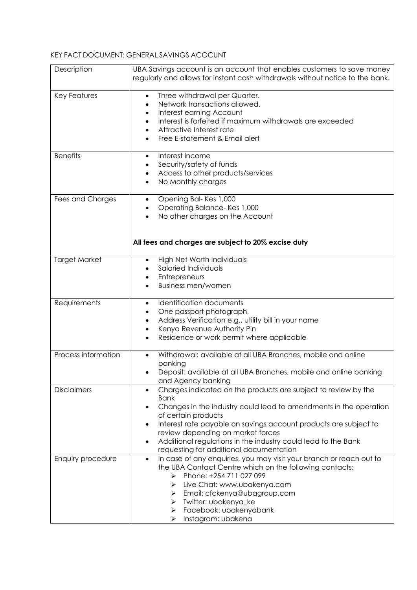### KEY FACT DOCUMENT: GENERAL SAVINGS ACOCUNT

| Description          | UBA Savings account is an account that enables customers to save money<br>regularly and allows for instant cash withdrawals without notice to the bank. |
|----------------------|---------------------------------------------------------------------------------------------------------------------------------------------------------|
| <b>Key Features</b>  | Three withdrawal per Quarter.<br>$\bullet$<br>Network transactions allowed.<br>$\bullet$                                                                |
|                      | Interest earning Account<br>$\bullet$                                                                                                                   |
|                      | Interest is forfeited if maximum withdrawals are exceeded<br>$\bullet$                                                                                  |
|                      | Attractive Interest rate<br>$\bullet$<br>Free E-statement & Email alert                                                                                 |
|                      |                                                                                                                                                         |
| <b>Benefits</b>      | Interest income<br>$\bullet$                                                                                                                            |
|                      | Security/safety of funds<br>٠<br>Access to other products/services                                                                                      |
|                      | $\bullet$<br>No Monthly charges<br>$\bullet$                                                                                                            |
|                      |                                                                                                                                                         |
| Fees and Charges     | Opening Bal-Kes 1,000<br>$\bullet$                                                                                                                      |
|                      | Operating Balance-Kes 1,000<br>$\bullet$<br>No other charges on the Account<br>$\bullet$                                                                |
|                      |                                                                                                                                                         |
|                      |                                                                                                                                                         |
|                      | All fees and charges are subject to 20% excise duty                                                                                                     |
| <b>Target Market</b> | High Net Worth Individuals<br>$\bullet$                                                                                                                 |
|                      | Salaried Individuals<br>Entrepreneurs<br>$\bullet$                                                                                                      |
|                      | <b>Business men/women</b>                                                                                                                               |
|                      |                                                                                                                                                         |
| Requirements         | <b>Identification documents</b><br>$\bullet$                                                                                                            |
|                      | One passport photograph,<br>Address Verification e.g., utility bill in your name<br>$\bullet$                                                           |
|                      | Kenya Revenue Authority Pin<br>$\bullet$                                                                                                                |
|                      | Residence or work permit where applicable<br>$\bullet$                                                                                                  |
|                      |                                                                                                                                                         |
| Process information  | Withdrawal: available at all UBA Branches, mobile and online<br>$\bullet$<br>banking                                                                    |
|                      | Deposit: available at all UBA Branches, mobile and online banking<br>٠                                                                                  |
|                      | and Agency banking                                                                                                                                      |
| <b>Disclaimers</b>   | Charges indicated on the products are subject to review by the                                                                                          |
|                      | <b>Bank</b><br>Changes in the industry could lead to amendments in the operation                                                                        |
|                      | of certain products                                                                                                                                     |
|                      | Interest rate payable on savings account products are subject to<br>$\bullet$                                                                           |
|                      | review depending on market forces                                                                                                                       |
|                      | Additional regulations in the industry could lead to the Bank<br>$\bullet$<br>requesting for additional documentation                                   |
| Enquiry procedure    | In case of any enquiries, you may visit your branch or reach out to<br>$\bullet$                                                                        |
|                      | the UBA Contact Centre which on the following contacts:                                                                                                 |
|                      | Phone: +254 711 027 099<br>➤                                                                                                                            |
|                      | Live Chat: www.ubakenya.com<br>➤<br>Email: cfckenya@ubagroup.com<br>➤                                                                                   |
|                      | Twitter: ubakenya_ke<br>➤                                                                                                                               |
|                      | Facebook: ubakenyabank<br>➤                                                                                                                             |
|                      | Instagram: ubakena<br>➤                                                                                                                                 |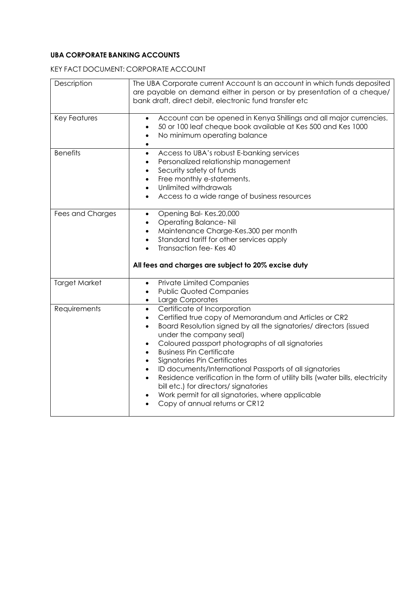## **UBA CORPORATE BANKING ACCOUNTS**

KEY FACT DOCUMENT: CORPORATE ACCOUNT

| Description          | The UBA Corporate current Account Is an account in which funds deposited<br>are payable on demand either in person or by presentation of a cheque/<br>bank draft, direct debit, electronic fund transfer etc                                                                                                                                                                                                                                                                                                                                                                                                                                                                                                  |
|----------------------|---------------------------------------------------------------------------------------------------------------------------------------------------------------------------------------------------------------------------------------------------------------------------------------------------------------------------------------------------------------------------------------------------------------------------------------------------------------------------------------------------------------------------------------------------------------------------------------------------------------------------------------------------------------------------------------------------------------|
| <b>Key Features</b>  | Account can be opened in Kenya Shillings and all major currencies.<br>$\bullet$<br>50 or 100 leaf cheque book available at Kes 500 and Kes 1000<br>٠<br>No minimum operating balance<br>$\bullet$<br>$\bullet$                                                                                                                                                                                                                                                                                                                                                                                                                                                                                                |
| <b>Benefits</b>      | Access to UBA's robust E-banking services<br>$\bullet$<br>Personalized relationship management<br>$\bullet$<br>Security safety of funds<br>$\bullet$<br>Free monthly e-statements.<br>$\bullet$<br>Unlimited withdrawals<br>$\bullet$<br>Access to a wide range of business resources<br>$\bullet$                                                                                                                                                                                                                                                                                                                                                                                                            |
| Fees and Charges     | Opening Bal-Kes.20,000<br>$\bullet$<br><b>Operating Balance-Nil</b><br>$\bullet$<br>Maintenance Charge-Kes.300 per month<br>$\bullet$<br>Standard tariff for other services apply<br>$\bullet$<br>Transaction fee-Kes 40<br>All fees and charges are subject to 20% excise duty                                                                                                                                                                                                                                                                                                                                                                                                                               |
| <b>Target Market</b> | <b>Private Limited Companies</b><br>$\bullet$<br><b>Public Quoted Companies</b><br>$\bullet$<br>Large Corporates<br>$\bullet$                                                                                                                                                                                                                                                                                                                                                                                                                                                                                                                                                                                 |
| Requirements         | Certificate of Incorporation<br>$\bullet$<br>Certified true copy of Memorandum and Articles or CR2<br>$\bullet$<br>Board Resolution signed by all the signatories/ directors (issued<br>$\bullet$<br>under the company seal)<br>Coloured passport photographs of all signatories<br>$\bullet$<br><b>Business Pin Certificate</b><br>$\bullet$<br>Signatories Pin Certificates<br>$\bullet$<br>ID documents/International Passports of all signatories<br>$\bullet$<br>Residence verification in the form of utility bills (water bills, electricity<br>$\bullet$<br>bill etc.) for directors/ signatories<br>Work permit for all signatories, where applicable<br>$\bullet$<br>Copy of annual returns or CR12 |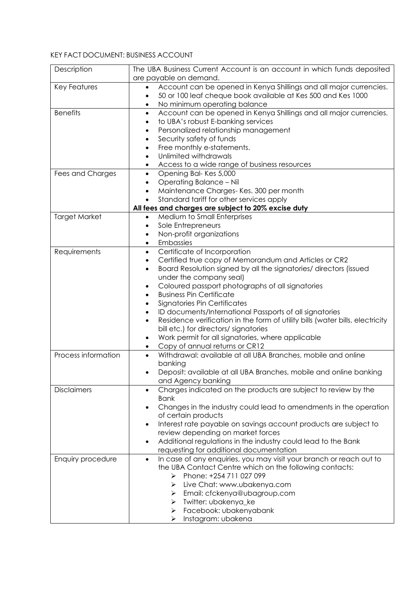# KEY FACT DOCUMENT: BUSINESS ACCOUNT

| Description          | The UBA Business Current Account is an account in which funds deposited<br>are payable on demand. |
|----------------------|---------------------------------------------------------------------------------------------------|
| <b>Key Features</b>  | Account can be opened in Kenya Shillings and all major currencies.<br>$\bullet$                   |
|                      |                                                                                                   |
|                      | 50 or 100 leaf cheque book available at Kes 500 and Kes 1000<br>$\bullet$                         |
|                      | No minimum operating balance<br>$\bullet$                                                         |
| <b>Benefits</b>      | Account can be opened in Kenya Shillings and all major currencies.<br>$\bullet$                   |
|                      | to UBA's robust E-banking services<br>$\bullet$                                                   |
|                      | Personalized relationship management<br>$\bullet$                                                 |
|                      | Security safety of funds<br>$\bullet$                                                             |
|                      | Free monthly e-statements.<br>$\bullet$                                                           |
|                      | Unlimited withdrawals<br>$\bullet$                                                                |
|                      | Access to a wide range of business resources<br>$\bullet$                                         |
| Fees and Charges     | Opening Bal-Kes 5,000<br>$\bullet$                                                                |
|                      | Operating Balance - Nil<br>$\bullet$                                                              |
|                      | Maintenance Charges- Kes. 300 per month<br>$\bullet$                                              |
|                      | Standard tariff for other services apply<br>$\bullet$                                             |
|                      |                                                                                                   |
|                      | All fees and charges are subject to 20% excise duty                                               |
| <b>Target Market</b> | Medium to Small Enterprises<br>$\bullet$                                                          |
|                      | Sole Entrepreneurs<br>$\bullet$                                                                   |
|                      | Non-profit organizations<br>$\bullet$                                                             |
|                      | Embassies<br>$\bullet$                                                                            |
| Requirements         | Certificate of Incorporation<br>$\bullet$                                                         |
|                      | Certified true copy of Memorandum and Articles or CR2<br>$\bullet$                                |
|                      | Board Resolution signed by all the signatories/ directors (issued<br>$\bullet$                    |
|                      | under the company seal)                                                                           |
|                      | Coloured passport photographs of all signatories<br>٠                                             |
|                      | <b>Business Pin Certificate</b><br>$\bullet$                                                      |
|                      | Signatories Pin Certificates<br>٠                                                                 |
|                      |                                                                                                   |
|                      | ID documents/International Passports of all signatories<br>$\bullet$                              |
|                      | Residence verification in the form of utility bills (water bills, electricity<br>$\bullet$        |
|                      | bill etc.) for directors/ signatories                                                             |
|                      | Work permit for all signatories, where applicable<br>$\bullet$                                    |
|                      | Copy of annual returns or CR12<br>$\bullet$                                                       |
| Process information  | Withdrawal: available at all UBA Branches, mobile and online<br>$\bullet$                         |
|                      | banking                                                                                           |
|                      | Deposit: available at all UBA Branches, mobile and online banking                                 |
|                      | and Agency banking                                                                                |
| <b>Disclaimers</b>   | Charges indicated on the products are subject to review by the<br>$\bullet$                       |
|                      | <b>Bank</b>                                                                                       |
|                      | Changes in the industry could lead to amendments in the operation                                 |
|                      | of certain products                                                                               |
|                      | Interest rate payable on savings account products are subject to<br>٠                             |
|                      | review depending on market forces                                                                 |
|                      |                                                                                                   |
|                      | Additional regulations in the industry could lead to the Bank<br>$\bullet$                        |
|                      | requesting for additional documentation                                                           |
| Enquiry procedure    | In case of any enquiries, you may visit your branch or reach out to<br>$\bullet$                  |
|                      | the UBA Contact Centre which on the following contacts:                                           |
|                      | Phone: +254 711 027 099<br>➤                                                                      |
|                      | Live Chat: www.ubakenya.com<br>➤                                                                  |
|                      | Email: cfckenya@ubagroup.com<br>➤                                                                 |
|                      | Twitter: ubakenya_ke<br>➤                                                                         |
|                      | Facebook: ubakenyabank<br>➤                                                                       |
|                      | Instagram: ubakena<br>➤                                                                           |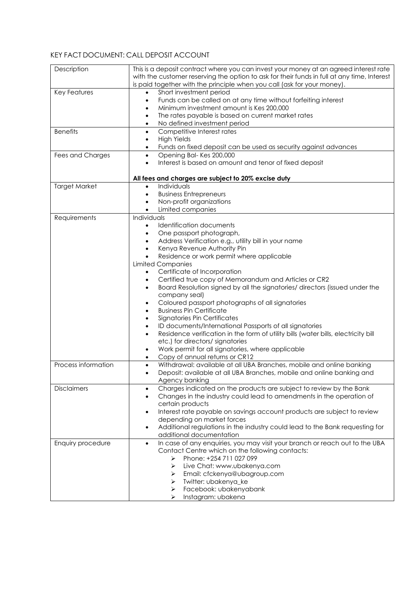## KEY FACT DOCUMENT: CALL DEPOSIT ACCOUNT

| Description          | This is a deposit contract where you can invest your money at an agreed interest rate<br>with the customer reserving the option to ask for their funds in full at any time, Interest<br>is paid together with the principle when you call (ask for your money).                                                                                                                                                                                                                                                                                                                                                                                                                                                                                                                                                                                                                                                                                                                                                            |
|----------------------|----------------------------------------------------------------------------------------------------------------------------------------------------------------------------------------------------------------------------------------------------------------------------------------------------------------------------------------------------------------------------------------------------------------------------------------------------------------------------------------------------------------------------------------------------------------------------------------------------------------------------------------------------------------------------------------------------------------------------------------------------------------------------------------------------------------------------------------------------------------------------------------------------------------------------------------------------------------------------------------------------------------------------|
| <b>Key Features</b>  | Short investment period<br>$\bullet$<br>Funds can be called on at any time without forfeiting interest<br>$\bullet$<br>Minimum investment amount is Kes 200,000<br>$\bullet$<br>The rates payable is based on current market rates<br>$\bullet$<br>No defined investment period<br>$\bullet$                                                                                                                                                                                                                                                                                                                                                                                                                                                                                                                                                                                                                                                                                                                               |
| <b>Benefits</b>      | Competitive Interest rates<br>$\bullet$<br><b>High Yields</b><br>$\bullet$<br>Funds on fixed deposit can be used as security against advances<br>$\bullet$                                                                                                                                                                                                                                                                                                                                                                                                                                                                                                                                                                                                                                                                                                                                                                                                                                                                 |
| Fees and Charges     | Opening Bal-Kes 200,000<br>$\bullet$<br>Interest is based on amount and tenor of fixed deposit<br>$\bullet$                                                                                                                                                                                                                                                                                                                                                                                                                                                                                                                                                                                                                                                                                                                                                                                                                                                                                                                |
| <b>Target Market</b> | All fees and charges are subject to 20% excise duty<br>Individuals<br>$\bullet$<br><b>Business Entrepreneurs</b><br>$\bullet$<br>Non-profit organizations<br>$\bullet$<br>Limited companies<br>$\bullet$                                                                                                                                                                                                                                                                                                                                                                                                                                                                                                                                                                                                                                                                                                                                                                                                                   |
| Requirements         | Individuals<br>Identification documents<br>$\bullet$<br>One passport photograph,<br>$\bullet$<br>Address Verification e.g., utility bill in your name<br>$\bullet$<br>Kenya Revenue Authority Pin<br>$\bullet$<br>Residence or work permit where applicable<br>$\bullet$<br><b>Limited Companies</b><br>Certificate of Incorporation<br>$\bullet$<br>Certified true copy of Memorandum and Articles or CR2<br>$\bullet$<br>Board Resolution signed by all the signatories/ directors (issued under the<br>$\bullet$<br>company seal)<br>Coloured passport photographs of all signatories<br>٠<br><b>Business Pin Certificate</b><br>$\bullet$<br>Signatories Pin Certificates<br>$\bullet$<br>ID documents/International Passports of all signatories<br>$\bullet$<br>Residence verification in the form of utility bills (water bills, electricity bill<br>$\bullet$<br>etc.) for directors/ signatories<br>Work permit for all signatories, where applicable<br>$\bullet$<br>Copy of annual returns or CR12<br>$\bullet$ |
| Process information  | Withdrawal: available at all UBA Branches, mobile and online banking<br>$\bullet$<br>Deposit: available at all UBA Branches, mobile and online banking and<br>$\bullet$<br>Agency banking                                                                                                                                                                                                                                                                                                                                                                                                                                                                                                                                                                                                                                                                                                                                                                                                                                  |
| <b>Disclaimers</b>   | Charges indicated on the products are subject to review by the Bank<br>$\bullet$<br>Changes in the industry could lead to amendments in the operation of<br>$\bullet$<br>certain products<br>Interest rate payable on savings account products are subject to review<br>$\bullet$<br>depending on market forces<br>Additional regulations in the industry could lead to the Bank requesting for<br>$\bullet$<br>additional documentation                                                                                                                                                                                                                                                                                                                                                                                                                                                                                                                                                                                   |
| Enquiry procedure    | In case of any enquiries, you may visit your branch or reach out to the UBA<br>$\bullet$<br>Contact Centre which on the following contacts:<br>Phone: +254 711 027 099<br>➤<br>Live Chat: www.ubakenya.com<br>⋗<br>Email: cfckenya@ubagroup.com<br>➤<br>Twitter: ubakenya_ke<br>➤<br>Facebook: ubakenyabank<br>➤<br>Instagram: ubakena<br>⋗                                                                                                                                                                                                                                                                                                                                                                                                                                                                                                                                                                                                                                                                                |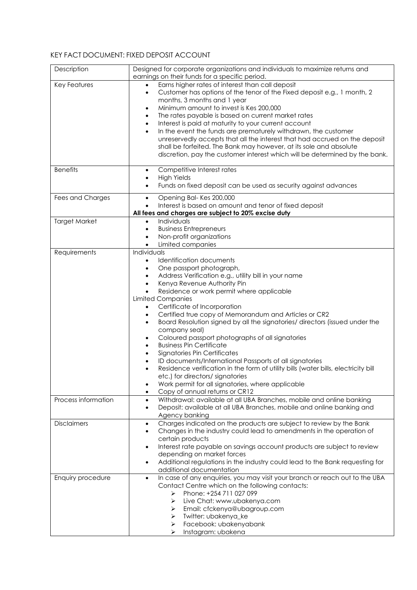## KEY FACT DOCUMENT: FIXED DEPOSIT ACCOUNT

| Description          | Designed for corporate organizations and individuals to maximize returns and<br>earnings on their funds for a specific period.                                                                                                                                                                                                                                                                                                                                                                                                                                                                                                                                                                                                                                                                                                                                                                                                                                                                                       |
|----------------------|----------------------------------------------------------------------------------------------------------------------------------------------------------------------------------------------------------------------------------------------------------------------------------------------------------------------------------------------------------------------------------------------------------------------------------------------------------------------------------------------------------------------------------------------------------------------------------------------------------------------------------------------------------------------------------------------------------------------------------------------------------------------------------------------------------------------------------------------------------------------------------------------------------------------------------------------------------------------------------------------------------------------|
| Key Features         | Earns higher rates of interest than call deposit<br>Customer has options of the tenor of the Fixed deposit e.g., 1 month, 2<br>$\bullet$<br>months, 3 months and 1 year<br>Minimum amount to invest is Kes 200,000<br>$\bullet$<br>The rates payable is based on current market rates<br>$\bullet$<br>Interest is paid at maturity to your current account<br>$\bullet$<br>In the event the funds are prematurely withdrawn, the customer<br>$\bullet$<br>unreservedly accepts that all the interest that had accrued on the deposit<br>shall be forfeited. The Bank may however, at its sole and absolute<br>discretion, pay the customer interest which will be determined by the bank.                                                                                                                                                                                                                                                                                                                            |
| <b>Benefits</b>      | Competitive Interest rates<br>$\bullet$<br><b>High Yields</b><br>$\bullet$                                                                                                                                                                                                                                                                                                                                                                                                                                                                                                                                                                                                                                                                                                                                                                                                                                                                                                                                           |
|                      | Funds on fixed deposit can be used as security against advances<br>$\bullet$                                                                                                                                                                                                                                                                                                                                                                                                                                                                                                                                                                                                                                                                                                                                                                                                                                                                                                                                         |
| Fees and Charges     | Opening Bal-Kes 200,000<br>$\bullet$<br>Interest is based on amount and tenor of fixed deposit<br>$\bullet$<br>All fees and charges are subject to 20% excise duty                                                                                                                                                                                                                                                                                                                                                                                                                                                                                                                                                                                                                                                                                                                                                                                                                                                   |
| <b>Target Market</b> | Individuals<br>$\bullet$<br><b>Business Entrepreneurs</b><br>$\bullet$<br>Non-profit organizations<br>$\bullet$<br>Limited companies<br>$\bullet$                                                                                                                                                                                                                                                                                                                                                                                                                                                                                                                                                                                                                                                                                                                                                                                                                                                                    |
| Requirements         | Individuals<br>Identification documents<br>$\bullet$<br>One passport photograph,<br>$\bullet$<br>Address Verification e.g., utility bill in your name<br>$\bullet$<br>Kenya Revenue Authority Pin<br>$\bullet$<br>Residence or work permit where applicable<br>$\bullet$<br><b>Limited Companies</b><br>Certificate of Incorporation<br>$\bullet$<br>Certified true copy of Memorandum and Articles or CR2<br>$\bullet$<br>Board Resolution signed by all the signatories/ directors (issued under the<br>$\bullet$<br>company seal)<br>Coloured passport photographs of all signatories<br>$\bullet$<br><b>Business Pin Certificate</b><br>$\bullet$<br>Signatories Pin Certificates<br>$\bullet$<br>ID documents/International Passports of all signatories<br>$\bullet$<br>Residence verification in the form of utility bills (water bills, electricity bill<br>etc.) for directors/signatories<br>Work permit for all signatories, where applicable<br>$\bullet$<br>Copy of annual returns or CR12<br>$\bullet$ |
| Process information  | Withdrawal: available at all UBA Branches, mobile and online banking<br>$\bullet$<br>Deposit: available at all UBA Branches, mobile and online banking and<br>$\bullet$<br>Agency banking                                                                                                                                                                                                                                                                                                                                                                                                                                                                                                                                                                                                                                                                                                                                                                                                                            |
| <b>Disclaimers</b>   | Charges indicated on the products are subject to review by the Bank<br>$\bullet$<br>Changes in the industry could lead to amendments in the operation of<br>$\bullet$<br>certain products<br>Interest rate payable on savings account products are subject to review<br>$\bullet$<br>depending on market forces<br>Additional regulations in the industry could lead to the Bank requesting for<br>$\bullet$<br>additional documentation                                                                                                                                                                                                                                                                                                                                                                                                                                                                                                                                                                             |
| Enquiry procedure    | In case of any enquiries, you may visit your branch or reach out to the UBA<br>$\bullet$<br>Contact Centre which on the following contacts:<br>Phone: +254 711 027 099<br>⋗<br>➤<br>Live Chat: www.ubakenya.com<br>Email: cfckenya@ubagroup.com<br>➤<br>Twitter: ubakenya_ke<br>➤<br>Facebook: ubakenyabank<br>➤<br>Instagram: ubakena                                                                                                                                                                                                                                                                                                                                                                                                                                                                                                                                                                                                                                                                               |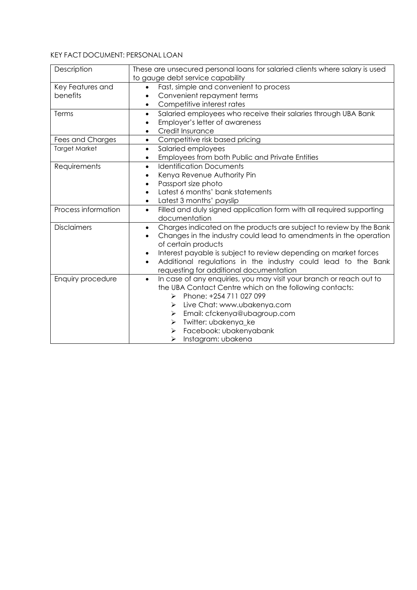# KEY FACT DOCUMENT: PERSONAL LOAN

| Description          | These are unsecured personal loans for salaried clients where salary is used      |
|----------------------|-----------------------------------------------------------------------------------|
|                      | to gauge debt service capability                                                  |
| Key Features and     | Fast, simple and convenient to process                                            |
| benefits             | Convenient repayment terms<br>٠                                                   |
|                      | Competitive interest rates<br>$\bullet$                                           |
| Terms                | Salaried employees who receive their salaries through UBA Bank<br>$\bullet$       |
|                      | Employer's letter of awareness<br>$\bullet$                                       |
|                      | Credit Insurance<br>$\bullet$                                                     |
| Fees and Charges     | Competitive risk based pricing<br>$\bullet$                                       |
| <b>Target Market</b> | Salaried employees<br>$\bullet$                                                   |
|                      | Employees from both Public and Private Entities<br>٠                              |
| Requirements         | <b>Identification Documents</b><br>$\bullet$                                      |
|                      | Kenya Revenue Authority Pin<br>$\bullet$                                          |
|                      | Passport size photo<br>$\bullet$                                                  |
|                      | Latest 6 months' bank statements<br>$\bullet$                                     |
|                      | Latest 3 months' payslip<br>$\bullet$                                             |
| Process information  | Filled and duly signed application form with all required supporting<br>$\bullet$ |
|                      | documentation                                                                     |
| <b>Disclaimers</b>   | Charges indicated on the products are subject to review by the Bank<br>$\bullet$  |
|                      | Changes in the industry could lead to amendments in the operation<br>$\bullet$    |
|                      | of certain products                                                               |
|                      | Interest payable is subject to review depending on market forces<br>$\bullet$     |
|                      | Additional regulations in the industry could lead to the Bank<br>$\bullet$        |
|                      | requesting for additional documentation                                           |
| Enquiry procedure    | In case of any enquiries, you may visit your branch or reach out to<br>$\bullet$  |
|                      | the UBA Contact Centre which on the following contacts:                           |
|                      | Phone: +254 711 027 099<br>➤                                                      |
|                      | Live Chat: www.ubakenya.com<br>⋗                                                  |
|                      | Email: cfckenya@ubagroup.com<br>➤                                                 |
|                      | Twitter: ubakenya_ke<br>≻                                                         |
|                      | Facebook: ubakenyabank<br>➤                                                       |
|                      | Instagram: ubakena<br>➤                                                           |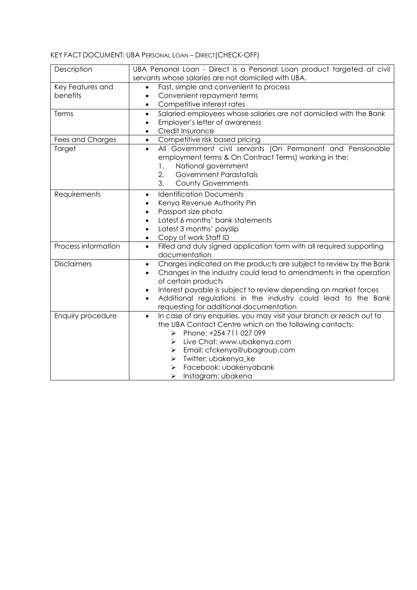# KEY FACT DOCUMENT: UBA PERSONAL LOAN – DIRECT(CHECK-OFF)

| Description         | UBA Personal Loan - Direct is a Personal Loan product targeted at civil           |
|---------------------|-----------------------------------------------------------------------------------|
|                     | servants whose salaries are not domiciled with UBA.                               |
| Key Features and    | Fast, simple and convenient to process                                            |
| benefits            | Convenient repayment terms<br>$\bullet$                                           |
|                     | Competitive interest rates<br>$\bullet$                                           |
| Terms               | Salaried employees whose salaries are not domiciled with the Bank<br>$\bullet$    |
|                     | Employer's letter of awareness<br>$\bullet$                                       |
|                     | Credit Insurance<br>$\bullet$                                                     |
| Fees and Charges    | Competitive risk based pricing<br>$\bullet$                                       |
| Target              | All Government civil servants (On Permanent and Pensionable<br>$\bullet$          |
|                     | employment terms & On Contract Terms) working in the;                             |
|                     | National government<br>1.                                                         |
|                     | 2.<br><b>Government Parastatals</b>                                               |
|                     | 3.<br><b>County Governments</b>                                                   |
| Requirements        | <b>Identification Documents</b><br>$\bullet$                                      |
|                     | Kenya Revenue Authority Pin<br>$\bullet$                                          |
|                     | Passport size photo<br>$\bullet$                                                  |
|                     | Latest 6 months' bank statements<br>$\bullet$                                     |
|                     | Latest 3 months' payslip<br>٠                                                     |
|                     | Copy of work Staff ID                                                             |
| Process information | Filled and duly signed application form with all required supporting<br>$\bullet$ |
|                     | documentation                                                                     |
| <b>Disclaimers</b>  | Charges indicated on the products are subject to review by the Bank<br>$\bullet$  |
|                     | Changes in the industry could lead to amendments in the operation                 |
|                     | of certain products                                                               |
|                     | Interest payable is subject to review depending on market forces<br>$\bullet$     |
|                     | Additional regulations in the industry could lead to the Bank                     |
|                     | requesting for additional documentation                                           |
| Enquiry procedure   | In case of any enquiries, you may visit your branch or reach out to<br>$\bullet$  |
|                     | the UBA Contact Centre which on the following contacts:                           |
|                     | Phone: +254 711 027 099<br>➤                                                      |
|                     | Live Chat: www.ubakenya.com<br>⋗                                                  |
|                     | Email: cfckenya@ubagroup.com<br>⋗                                                 |
|                     | Twitter: ubakenya_ke<br>➤                                                         |
|                     | Facebook: ubakenyabank<br>➤                                                       |
|                     | Instagram: ubakena<br>≻                                                           |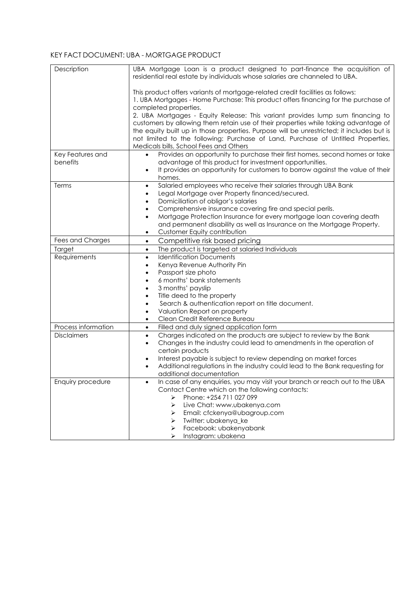#### KEY FACT DOCUMENT: UBA - MORTGAGE PRODUCT

| Description         | UBA Mortgage Loan is a product designed to part-finance the acquisition of<br>residential real estate by individuals whose salaries are channeled to UBA.                     |
|---------------------|-------------------------------------------------------------------------------------------------------------------------------------------------------------------------------|
|                     | This product offers variants of mortgage-related credit facilities as follows:<br>1. UBA Mortgages - Home Purchase: This product offers financing for the purchase of         |
|                     | completed properties.                                                                                                                                                         |
|                     | 2. UBA Mortgages - Equity Release: This variant provides lump sum financing to                                                                                                |
|                     | customers by allowing them retain use of their properties while taking advantage of                                                                                           |
|                     | the equity built up in those properties. Purpose will be unrestricted; it includes but is<br>not limited to the following: Purchase of Land, Purchase of Untitled Properties, |
|                     | Medicals bills, School Fees and Others                                                                                                                                        |
| Key Features and    | Provides an opportunity to purchase their first homes, second homes or take<br>$\bullet$                                                                                      |
| benefits            | advantage of this product for investment opportunities.                                                                                                                       |
|                     | It provides an opportunity for customers to borrow against the value of their<br>$\bullet$                                                                                    |
|                     | homes.                                                                                                                                                                        |
| Terms               | Salaried employees who receive their salaries through UBA Bank<br>$\bullet$                                                                                                   |
|                     | Legal Mortgage over Property financed/secured.<br>$\bullet$                                                                                                                   |
|                     | Domiciliation of obligor's salaries<br>٠<br>Comprehensive insurance covering fire and special perils.<br>$\bullet$                                                            |
|                     | Mortgage Protection Insurance for every mortgage loan covering death<br>$\bullet$                                                                                             |
|                     | and permanent disability as well as Insurance on the Mortgage Property.                                                                                                       |
|                     | Customer Equity contribution<br>$\bullet$                                                                                                                                     |
| Fees and Charges    | Competitive risk based pricing<br>$\bullet$                                                                                                                                   |
| Target              | The product is targeted at salaried Individuals<br>$\bullet$                                                                                                                  |
| Requirements        | <b>Identification Documents</b><br>$\bullet$                                                                                                                                  |
|                     | Kenya Revenue Authority Pin<br>$\bullet$                                                                                                                                      |
|                     | Passport size photo<br>٠                                                                                                                                                      |
|                     | 6 months' bank statements<br>$\bullet$<br>3 months' payslip<br>$\bullet$                                                                                                      |
|                     | Title deed to the property<br>$\bullet$                                                                                                                                       |
|                     | Search & authentication report on title document.<br>$\bullet$                                                                                                                |
|                     | Valuation Report on property<br>٠                                                                                                                                             |
|                     | Clean Credit Reference Bureau<br>٠                                                                                                                                            |
| Process information | Filled and duly signed application form<br>$\bullet$                                                                                                                          |
| <b>Disclaimers</b>  | Charges indicated on the products are subject to review by the Bank<br>$\bullet$                                                                                              |
|                     | Changes in the industry could lead to amendments in the operation of<br>٠                                                                                                     |
|                     | certain products<br>Interest payable is subject to review depending on market forces<br>$\bullet$                                                                             |
|                     | Additional regulations in the industry could lead to the Bank requesting for<br>٠                                                                                             |
|                     | additional documentation                                                                                                                                                      |
| Enquiry procedure   | In case of any enquiries, you may visit your branch or reach out to the UBA                                                                                                   |
|                     | Contact Centre which on the following contacts:                                                                                                                               |
|                     | Phone: +254 711 027 099<br>↘                                                                                                                                                  |
|                     | Live Chat: www.ubakenya.com<br>➤                                                                                                                                              |
|                     | Email: cfckenya@ubagroup.com<br>➤<br>Twitter: ubakenya_ke                                                                                                                     |
|                     | ➤<br>Facebook: ubakenyabank<br>➤                                                                                                                                              |
|                     | Instagram: ubakena<br>➤                                                                                                                                                       |
|                     |                                                                                                                                                                               |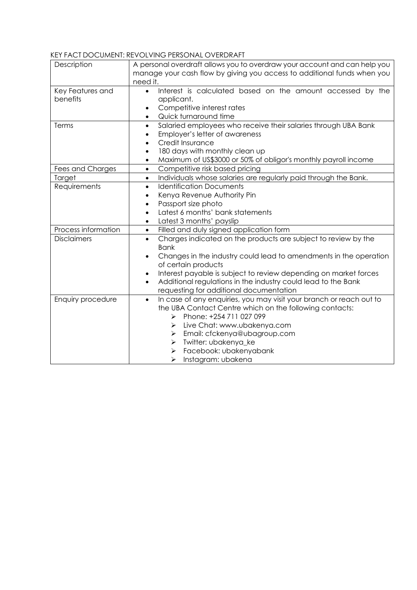#### KEY FACT DOCUMENT: REVOLVING PERSONAL OVERDRAFT

| Description                  | A personal overdraft allows you to overdraw your account and can help you<br>manage your cash flow by giving you access to additional funds when you<br>need it.                                                                                                                                                                                                                                              |
|------------------------------|---------------------------------------------------------------------------------------------------------------------------------------------------------------------------------------------------------------------------------------------------------------------------------------------------------------------------------------------------------------------------------------------------------------|
| Key Features and<br>benefits | Interest is calculated based on the amount accessed by the<br>$\bullet$<br>applicant.<br>Competitive interest rates<br>٠<br>Quick turnaround time<br>$\bullet$                                                                                                                                                                                                                                                |
| Terms                        | Salaried employees who receive their salaries through UBA Bank<br>$\bullet$<br>Employer's letter of awareness<br>٠<br>Credit Insurance<br>٠<br>180 days with monthly clean up<br>$\bullet$<br>Maximum of US\$3000 or 50% of obligor's monthly payroll income<br>٠                                                                                                                                             |
| Fees and Charges             | Competitive risk based pricing<br>$\bullet$                                                                                                                                                                                                                                                                                                                                                                   |
| Target                       | Individuals whose salaries are regularly paid through the Bank.<br>$\bullet$                                                                                                                                                                                                                                                                                                                                  |
| Requirements                 | <b>Identification Documents</b><br>$\bullet$<br>Kenya Revenue Authority Pin<br>$\bullet$<br>Passport size photo<br>$\bullet$<br>Latest 6 months' bank statements<br>$\bullet$<br>Latest 3 months' payslip<br>$\bullet$                                                                                                                                                                                        |
| Process information          | Filled and duly signed application form<br>$\bullet$                                                                                                                                                                                                                                                                                                                                                          |
| <b>Disclaimers</b>           | Charges indicated on the products are subject to review by the<br>$\bullet$<br><b>Bank</b><br>Changes in the industry could lead to amendments in the operation<br>$\bullet$<br>of certain products<br>Interest payable is subject to review depending on market forces<br>$\bullet$<br>Additional regulations in the industry could lead to the Bank<br>$\bullet$<br>requesting for additional documentation |
| Enquiry procedure            | In case of any enquiries, you may visit your branch or reach out to<br>$\bullet$<br>the UBA Contact Centre which on the following contacts:<br>Phone: +254 711 027 099<br>➤<br>Live Chat: www.ubakenya.com<br>➤<br>Email: cfckenya@ubagroup.com<br>➤<br>Twitter: ubakenya_ke<br>➤<br>Facebook: ubakenyabank<br>Instagram: ubakena<br>➤                                                                        |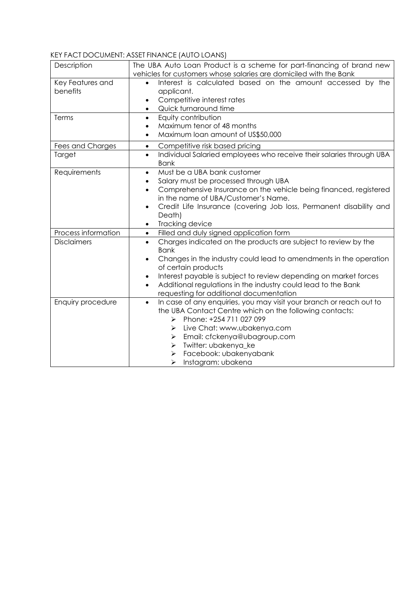# KEY FACT DOCUMENT: ASSET FINANCE (AUTO LOANS)

| Description         | The UBA Auto Loan Product is a scheme for part-financing of brand new                                 |
|---------------------|-------------------------------------------------------------------------------------------------------|
|                     | vehicles for customers whose salaries are domiciled with the Bank                                     |
| Key Features and    | Interest is calculated based on the amount accessed by the                                            |
| benefits            | applicant.                                                                                            |
|                     | Competitive interest rates<br>$\bullet$                                                               |
|                     | Quick turnaround time<br>$\bullet$                                                                    |
| Terms               | Equity contribution<br>$\bullet$                                                                      |
|                     | Maximum tenor of 48 months<br>$\bullet$                                                               |
|                     | Maximum loan amount of US\$50,000<br>٠                                                                |
| Fees and Charges    | Competitive risk based pricing<br>$\bullet$                                                           |
| Target              | Individual Salaried employees who receive their salaries through UBA<br>$\bullet$<br><b>Bank</b>      |
| Requirements        | Must be a UBA bank customer<br>$\bullet$                                                              |
|                     | Salary must be processed through UBA<br>$\bullet$                                                     |
|                     | Comprehensive Insurance on the vehicle being financed, registered<br>$\bullet$                        |
|                     | in the name of UBA/Customer's Name.                                                                   |
|                     | Credit Life Insurance (covering Job loss, Permanent disability and<br>$\bullet$                       |
|                     | Death)                                                                                                |
|                     | Tracking device<br>$\bullet$                                                                          |
| Process information | Filled and duly signed application form<br>$\bullet$                                                  |
| <b>Disclaimers</b>  | Charges indicated on the products are subject to review by the<br>$\bullet$                           |
|                     | <b>Bank</b>                                                                                           |
|                     | Changes in the industry could lead to amendments in the operation<br>$\bullet$<br>of certain products |
|                     | Interest payable is subject to review depending on market forces<br>$\bullet$                         |
|                     | Additional regulations in the industry could lead to the Bank<br>$\bullet$                            |
|                     | requesting for additional documentation                                                               |
| Enquiry procedure   | In case of any enquiries, you may visit your branch or reach out to<br>$\bullet$                      |
|                     | the UBA Contact Centre which on the following contacts:                                               |
|                     | Phone: +254 711 027 099<br>⋗                                                                          |
|                     | Live Chat: www.ubakenya.com<br>⋗                                                                      |
|                     | Email: cfckenya@ubagroup.com<br>➤                                                                     |
|                     | Twitter: ubakenya_ke<br>➤                                                                             |
|                     | Facebook: ubakenyabank<br>➤                                                                           |
|                     | Instagram: ubakena<br>➤                                                                               |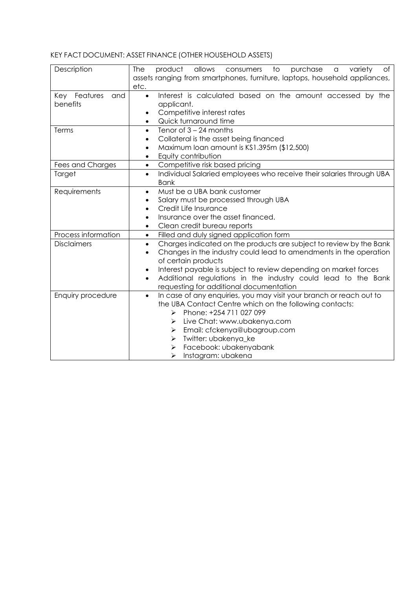# KEY FACT DOCUMENT: ASSET FINANCE (OTHER HOUSEHOLD ASSETS)

| Description         | The<br>allows<br>purchase<br>product<br>consumers<br>to<br>variety<br>of<br>a     |
|---------------------|-----------------------------------------------------------------------------------|
|                     | assets ranging from smartphones, furniture, laptops, household appliances,        |
|                     | etc.                                                                              |
| Key Features<br>and | Interest is calculated based on the amount accessed by the<br>$\bullet$           |
| benefits            | applicant.                                                                        |
|                     | Competitive interest rates<br>$\bullet$                                           |
|                     | Quick turnaround time<br>$\bullet$                                                |
| Terms               | Tenor of $3 - 24$ months<br>$\bullet$                                             |
|                     | Collateral is the asset being financed<br>٠                                       |
|                     | Maximum loan amount is KS1.395m (\$12,500)<br>$\bullet$                           |
|                     | Equity contribution<br>٠                                                          |
| Fees and Charges    | Competitive risk based pricing<br>$\bullet$                                       |
| Target              | Individual Salaried employees who receive their salaries through UBA<br>$\bullet$ |
|                     | <b>Bank</b><br>Must be a UBA bank customer                                        |
| Requirements        | $\bullet$                                                                         |
|                     | Salary must be processed through UBA<br>٠<br>Credit Life Insurance                |
|                     | $\bullet$<br>Insurance over the asset financed.<br>$\bullet$                      |
|                     | Clean credit bureau reports<br>$\bullet$                                          |
| Process information | Filled and duly signed application form<br>$\bullet$                              |
| <b>Disclaimers</b>  | Charges indicated on the products are subject to review by the Bank<br>$\bullet$  |
|                     | Changes in the industry could lead to amendments in the operation<br>$\bullet$    |
|                     | of certain products                                                               |
|                     | Interest payable is subject to review depending on market forces<br>$\bullet$     |
|                     | Additional regulations in the industry could lead to the Bank<br>$\bullet$        |
|                     | requesting for additional documentation                                           |
| Enquiry procedure   | In case of any enquiries, you may visit your branch or reach out to<br>$\bullet$  |
|                     | the UBA Contact Centre which on the following contacts:                           |
|                     | Phone: +254 711 027 099<br>$\blacktriangleright$                                  |
|                     | Live Chat: www.ubakenya.com<br>⋗                                                  |
|                     | Email: cfckenya@ubagroup.com<br>⋗                                                 |
|                     | Twitter: ubakenya_ke<br>➤                                                         |
|                     | Facebook: ubakenyabank<br>➤                                                       |
|                     | Instagram: ubakena<br>➤                                                           |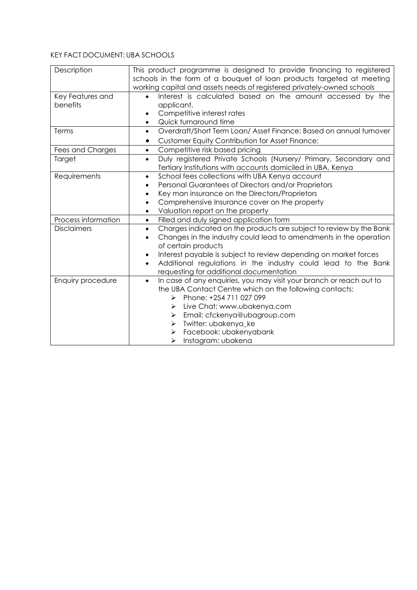# KEY FACT DOCUMENT: UBA SCHOOLS

| Description         | This product programme is designed to provide financing to registered<br>schools in the form of a bouquet of loan products targeted at meeting<br>working capital and assets needs of registered privately-owned schools |
|---------------------|--------------------------------------------------------------------------------------------------------------------------------------------------------------------------------------------------------------------------|
| Key Features and    | Interest is calculated based on the amount accessed by the<br>$\bullet$                                                                                                                                                  |
| benefits            | applicant.                                                                                                                                                                                                               |
|                     | Competitive interest rates                                                                                                                                                                                               |
|                     | Quick turnaround time<br>$\bullet$                                                                                                                                                                                       |
| Terms               | Overdraft/Short Term Loan/ Asset Finance: Based on annual turnover<br>$\bullet$                                                                                                                                          |
|                     | <b>Customer Equity Contribution for Asset Finance:</b><br>$\bullet$                                                                                                                                                      |
| Fees and Charges    | Competitive risk based pricing<br>$\bullet$                                                                                                                                                                              |
| Target              | Duly registered Private Schools (Nursery/ Primary, Secondary and<br>$\bullet$<br>Tertiary Institutions with accounts domiciled in UBA, Kenya                                                                             |
| Requirements        | School fees collections with UBA Kenya account<br>$\bullet$                                                                                                                                                              |
|                     | Personal Guarantees of Directors and/or Proprietors<br>$\bullet$                                                                                                                                                         |
|                     | Key man insurance on the Directors/Proprietors<br>$\bullet$                                                                                                                                                              |
|                     | Comprehensive Insurance cover on the property<br>$\bullet$                                                                                                                                                               |
|                     | Valuation report on the property<br>$\bullet$                                                                                                                                                                            |
| Process information | Filled and duly signed application form<br>$\bullet$                                                                                                                                                                     |
| <b>Disclaimers</b>  | Charges indicated on the products are subject to review by the Bank<br>$\bullet$                                                                                                                                         |
|                     | Changes in the industry could lead to amendments in the operation                                                                                                                                                        |
|                     | of certain products                                                                                                                                                                                                      |
|                     | Interest payable is subject to review depending on market forces<br>$\bullet$                                                                                                                                            |
|                     | Additional regulations in the industry could lead to the Bank<br>$\bullet$                                                                                                                                               |
|                     | requesting for additional documentation                                                                                                                                                                                  |
| Enquiry procedure   | In case of any enquiries, you may visit your branch or reach out to<br>$\bullet$                                                                                                                                         |
|                     | the UBA Contact Centre which on the following contacts:                                                                                                                                                                  |
|                     | Phone: +254 711 027 099<br>$\blacktriangleright$                                                                                                                                                                         |
|                     | Live Chat: www.ubakenya.com<br>⋗                                                                                                                                                                                         |
|                     | Email: cfckenya@ubagroup.com<br>➤                                                                                                                                                                                        |
|                     | Twitter: ubakenya_ke<br>➤                                                                                                                                                                                                |
|                     | Facebook: ubakenyabank<br>➤                                                                                                                                                                                              |
|                     | Instagram: ubakena<br>➤                                                                                                                                                                                                  |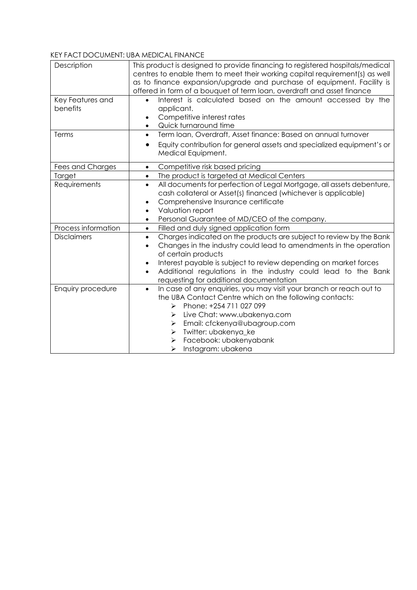#### KEY FACT DOCUMENT: UBA MEDICAL FINANCE

| Description         | This product is designed to provide financing to registered hospitals/medical<br>centres to enable them to meet their working capital requirement(s) as well<br>as to finance expansion/upgrade and purchase of equipment. Facility is                                                                                                                                                      |
|---------------------|---------------------------------------------------------------------------------------------------------------------------------------------------------------------------------------------------------------------------------------------------------------------------------------------------------------------------------------------------------------------------------------------|
|                     | offered in form of a bouquet of term loan, overdraft and asset finance                                                                                                                                                                                                                                                                                                                      |
| Key Features and    | Interest is calculated based on the amount accessed by the<br>$\bullet$                                                                                                                                                                                                                                                                                                                     |
| benefits            | applicant.                                                                                                                                                                                                                                                                                                                                                                                  |
|                     | Competitive interest rates<br>$\bullet$                                                                                                                                                                                                                                                                                                                                                     |
|                     | Quick turnaround time<br>$\bullet$                                                                                                                                                                                                                                                                                                                                                          |
| Terms               | Term loan, Overdraft, Asset finance: Based on annual turnover<br>$\bullet$                                                                                                                                                                                                                                                                                                                  |
|                     | Equity contribution for general assets and specialized equipment's or<br>$\bullet$<br>Medical Equipment.                                                                                                                                                                                                                                                                                    |
| Fees and Charges    | Competitive risk based pricing<br>$\bullet$                                                                                                                                                                                                                                                                                                                                                 |
| Target              | The product is targeted at Medical Centers<br>$\bullet$                                                                                                                                                                                                                                                                                                                                     |
| Requirements        | All documents for perfection of Legal Mortgage, all assets debenture,<br>$\bullet$<br>cash collateral or Asset(s) financed (whichever is applicable)<br>Comprehensive Insurance certificate<br>$\bullet$<br>Valuation report<br>$\bullet$                                                                                                                                                   |
|                     | Personal Guarantee of MD/CEO of the company.<br>$\bullet$                                                                                                                                                                                                                                                                                                                                   |
| Process information | Filled and duly signed application form<br>$\bullet$                                                                                                                                                                                                                                                                                                                                        |
| <b>Disclaimers</b>  | Charges indicated on the products are subject to review by the Bank<br>$\bullet$<br>Changes in the industry could lead to amendments in the operation<br>$\bullet$<br>of certain products<br>Interest payable is subject to review depending on market forces<br>٠<br>Additional regulations in the industry could lead to the Bank<br>$\bullet$<br>requesting for additional documentation |
| Enquiry procedure   | In case of any enquiries, you may visit your branch or reach out to<br>$\bullet$<br>the UBA Contact Centre which on the following contacts:<br>Phone: +254 711 027 099<br>$\blacktriangleright$<br>Live Chat: www.ubakenya.com<br>⋗<br>Email: cfckenya@ubagroup.com<br>⋗<br>Twitter: ubakenya_ke<br>➤<br>Facebook: ubakenyabank<br>➤<br>Instagram: ubakena<br>➤                             |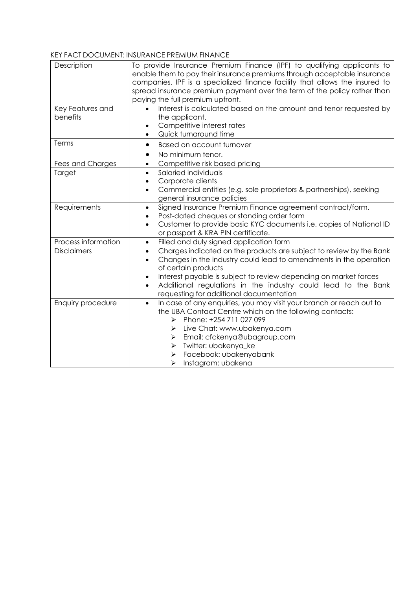#### KEY FACT DOCUMENT: INSURANCE PREMIUM FINANCE

| Description         | To provide Insurance Premium Finance (IPF) to qualifying applicants to<br>enable them to pay their insurance premiums through acceptable insurance<br>companies. IPF is a specialized finance facility that allows the insured to<br>spread insurance premium payment over the term of the policy rather than<br>paying the full premium upfront. |
|---------------------|---------------------------------------------------------------------------------------------------------------------------------------------------------------------------------------------------------------------------------------------------------------------------------------------------------------------------------------------------|
| Key Features and    | Interest is calculated based on the amount and tenor requested by                                                                                                                                                                                                                                                                                 |
| benefits            | the applicant.                                                                                                                                                                                                                                                                                                                                    |
|                     | Competitive interest rates<br>$\bullet$                                                                                                                                                                                                                                                                                                           |
|                     | Quick turnaround time<br>$\bullet$                                                                                                                                                                                                                                                                                                                |
| Terms               | Based on account turnover<br>$\bullet$                                                                                                                                                                                                                                                                                                            |
|                     | No minimum tenor.<br>$\bullet$                                                                                                                                                                                                                                                                                                                    |
| Fees and Charges    | Competitive risk based pricing<br>$\bullet$                                                                                                                                                                                                                                                                                                       |
| Target              | Salaried individuals<br>$\bullet$                                                                                                                                                                                                                                                                                                                 |
|                     | Corporate clients<br>$\bullet$                                                                                                                                                                                                                                                                                                                    |
|                     | Commercial entities (e.g. sole proprietors & partnerships), seeking<br>$\bullet$                                                                                                                                                                                                                                                                  |
|                     | general insurance policies                                                                                                                                                                                                                                                                                                                        |
| Requirements        | Signed Insurance Premium Finance agreement contract/form.<br>٠                                                                                                                                                                                                                                                                                    |
|                     | Post-dated cheques or standing order form<br>$\bullet$                                                                                                                                                                                                                                                                                            |
|                     | Customer to provide basic KYC documents i.e. copies of National ID<br>$\bullet$                                                                                                                                                                                                                                                                   |
|                     | or passport & KRA PIN certificate.                                                                                                                                                                                                                                                                                                                |
| Process information | Filled and duly signed application form<br>$\bullet$                                                                                                                                                                                                                                                                                              |
| <b>Disclaimers</b>  | Charges indicated on the products are subject to review by the Bank<br>$\bullet$<br>Changes in the industry could lead to amendments in the operation<br>$\bullet$<br>of certain products                                                                                                                                                         |
|                     | Interest payable is subject to review depending on market forces<br>$\bullet$                                                                                                                                                                                                                                                                     |
|                     | Additional regulations in the industry could lead to the Bank<br>$\bullet$                                                                                                                                                                                                                                                                        |
|                     | requesting for additional documentation                                                                                                                                                                                                                                                                                                           |
| Enquiry procedure   | In case of any enquiries, you may visit your branch or reach out to<br>$\bullet$                                                                                                                                                                                                                                                                  |
|                     | the UBA Contact Centre which on the following contacts:                                                                                                                                                                                                                                                                                           |
|                     | Phone: +254 711 027 099<br>⋗                                                                                                                                                                                                                                                                                                                      |
|                     | Live Chat: www.ubakenya.com<br>⋗                                                                                                                                                                                                                                                                                                                  |
|                     | Email: cfckenya@ubagroup.com<br>➤                                                                                                                                                                                                                                                                                                                 |
|                     | Twitter: ubakenya_ke<br>➤                                                                                                                                                                                                                                                                                                                         |
|                     | Facebook: ubakenyabank                                                                                                                                                                                                                                                                                                                            |
|                     | Instagram: ubakena<br>➤                                                                                                                                                                                                                                                                                                                           |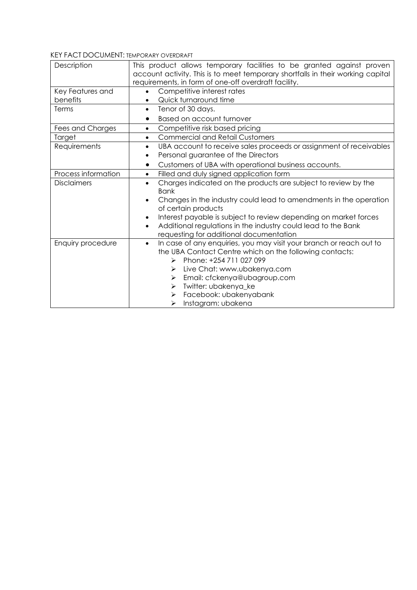#### KEY FACT DOCUMENT: TEMPORARY OVERDRAFT

| Description         | This product allows temporary facilities to be granted against proven<br>account activity. This is to meet temporary shortfalls in their working capital<br>requirements, in form of one-off overdraft facility.                                                                      |
|---------------------|---------------------------------------------------------------------------------------------------------------------------------------------------------------------------------------------------------------------------------------------------------------------------------------|
| Key Features and    | Competitive interest rates<br>$\bullet$                                                                                                                                                                                                                                               |
| benefits            | Quick turnaround time                                                                                                                                                                                                                                                                 |
| Terms               | Tenor of 30 days.<br>$\bullet$                                                                                                                                                                                                                                                        |
|                     | Based on account turnover<br>$\bullet$                                                                                                                                                                                                                                                |
| Fees and Charges    | Competitive risk based pricing<br>$\bullet$                                                                                                                                                                                                                                           |
| Target              | <b>Commercial and Retail Customers</b><br>$\bullet$                                                                                                                                                                                                                                   |
| Requirements        | UBA account to receive sales proceeds or assignment of receivables<br>$\bullet$<br>Personal guarantee of the Directors<br>$\bullet$                                                                                                                                                   |
|                     | Customers of UBA with operational business accounts.<br>$\bullet$                                                                                                                                                                                                                     |
| Process information | Filled and duly signed application form<br>$\bullet$                                                                                                                                                                                                                                  |
| <b>Disclaimers</b>  | Charges indicated on the products are subject to review by the<br>$\bullet$<br><b>Bank</b>                                                                                                                                                                                            |
|                     | Changes in the industry could lead to amendments in the operation<br>$\bullet$                                                                                                                                                                                                        |
|                     | $\bullet$                                                                                                                                                                                                                                                                             |
|                     | $\bullet$                                                                                                                                                                                                                                                                             |
|                     |                                                                                                                                                                                                                                                                                       |
| Enquiry procedure   | In case of any enquiries, you may visit your branch or reach out to<br>$\bullet$<br>the UBA Contact Centre which on the following contacts:<br>Phone: +254 711 027 099<br>➤<br>Live Chat: www.ubakenya.com<br>⋗<br>Email: cfckenya@ubagroup.com<br>⋗                                  |
|                     |                                                                                                                                                                                                                                                                                       |
|                     |                                                                                                                                                                                                                                                                                       |
|                     | of certain products<br>Interest payable is subject to review depending on market forces<br>Additional regulations in the industry could lead to the Bank<br>requesting for additional documentation<br>Twitter: ubakenya_ke<br>≻<br>Facebook: ubakenyabank<br>Instagram: ubakena<br>➤ |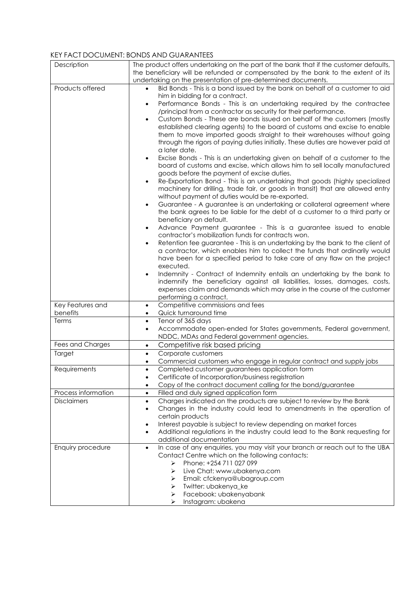#### KEY FACT DOCUMENT: BONDS AND GUARANTEES

| Description                  | The product offers undertaking on the part of the bank that if the customer defaults,<br>the beneficiary will be refunded or compensated by the bank to the extent of its<br>undertaking on the presentation of pre-determined documents.                                                                                                                                                                                               |
|------------------------------|-----------------------------------------------------------------------------------------------------------------------------------------------------------------------------------------------------------------------------------------------------------------------------------------------------------------------------------------------------------------------------------------------------------------------------------------|
| Products offered             | Bid Bonds - This is a bond issued by the bank on behalf of a customer to aid                                                                                                                                                                                                                                                                                                                                                            |
|                              | him in bidding for a contract.<br>Performance Bonds - This is an undertaking required by the contractee<br>$\bullet$<br>/principal from a contractor as security for their performance.<br>Custom Bonds - These are bonds issued on behalf of the customers (mostly<br>$\bullet$<br>established clearing agents) to the board of customs and excise to enable<br>them to move imported goods straight to their warehouses without going |
|                              | through the rigors of paying duties initially. These duties are however paid at<br>a later date.<br>Excise Bonds - This is an undertaking given on behalf of a customer to the<br>$\bullet$<br>board of customs and excise, which allows him to sell locally manufactured                                                                                                                                                               |
|                              | goods before the payment of excise duties.<br>Re-Exportation Bond - This is an undertaking that goods (highly specialized<br>$\bullet$<br>machinery for drilling, trade fair, or goods in transit) that are allowed entry<br>without payment of duties would be re-exported.                                                                                                                                                            |
|                              | Guarantee - A guarantee is an undertaking or collateral agreement where<br>$\bullet$<br>the bank agrees to be liable for the debt of a customer to a third party or<br>beneficiary on default.                                                                                                                                                                                                                                          |
|                              | Advance Payment guarantee - This is a guarantee issued to enable<br>$\bullet$<br>contractor's mobilization funds for contracts won.<br>Retention fee guarantee - This is an undertaking by the bank to the client of                                                                                                                                                                                                                    |
|                              | a contractor, which enables him to collect the funds that ordinarily would<br>have been for a specified period to take care of any flaw on the project<br>executed.                                                                                                                                                                                                                                                                     |
|                              | Indemnity - Contract of Indemnity entails an undertaking by the bank to<br>$\bullet$<br>indemnify the beneficiary against all liabilities, losses, damages, costs,<br>expenses claim and demands which may arise in the course of the customer<br>performing a contract.                                                                                                                                                                |
| Key Features and<br>benefits | Competitive commissions and fees<br>$\bullet$<br>Quick turnaround time<br>$\bullet$                                                                                                                                                                                                                                                                                                                                                     |
| Terms                        | Tenor of 365 days<br>$\bullet$                                                                                                                                                                                                                                                                                                                                                                                                          |
|                              | Accommodate open-ended for States governments, Federal government,<br>$\bullet$<br>NDDC, MDAs and Federal government agencies.                                                                                                                                                                                                                                                                                                          |
| Fees and Charges             | Competitive risk based pricing<br>$\bullet$                                                                                                                                                                                                                                                                                                                                                                                             |
| Target                       | Corporate customers<br>$\bullet$                                                                                                                                                                                                                                                                                                                                                                                                        |
| Requirements                 | Commercial customers who engage in regular contract and supply jobs<br>$\bullet$<br>Completed customer guarantees application form<br>$\bullet$<br>Certificate of Incorporation/business registration<br>$\bullet$                                                                                                                                                                                                                      |
|                              | Copy of the contract document calling for the bond/guarantee<br>$\bullet$                                                                                                                                                                                                                                                                                                                                                               |
| Process information          | Filled and duly signed application form<br>$\bullet$                                                                                                                                                                                                                                                                                                                                                                                    |
| <b>Disclaimers</b>           | Charges indicated on the products are subject to review by the Bank<br>$\bullet$<br>Changes in the industry could lead to amendments in the operation of<br>$\bullet$<br>certain products<br>Interest payable is subject to review depending on market forces<br>$\bullet$                                                                                                                                                              |
|                              | Additional regulations in the industry could lead to the Bank requesting for<br>$\bullet$<br>additional documentation                                                                                                                                                                                                                                                                                                                   |
| Enquiry procedure            | In case of any enquiries, you may visit your branch or reach out to the UBA<br>$\bullet$<br>Contact Centre which on the following contacts:<br>Phone: +254 711 027 099<br>➤<br>Live Chat: www.ubakenya.com<br>⋗<br>Email: cfckenya@ubagroup.com<br>➤<br>Twitter: ubakenya_ke<br>➤<br>Facebook: ubakenyabank<br>➤                                                                                                                        |
|                              | Instagram: ubakena<br>➤                                                                                                                                                                                                                                                                                                                                                                                                                 |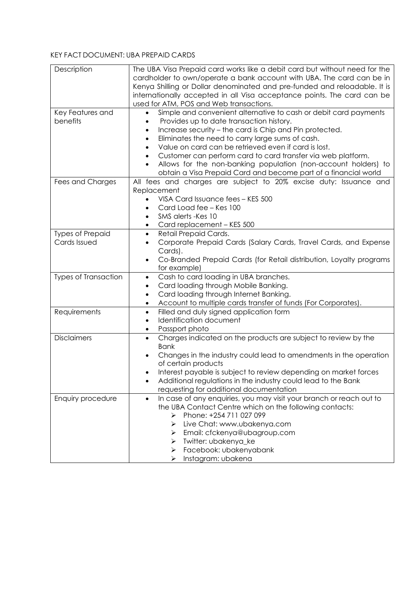### KEY FACT DOCUMENT: UBA PREPAID CARDS

| Description             | The UBA Visa Prepaid card works like a debit card but without need for the                 |
|-------------------------|--------------------------------------------------------------------------------------------|
|                         | cardholder to own/operate a bank account with UBA. The card can be in                      |
|                         | Kenya Shilling or Dollar denominated and pre-funded and reloadable. It is                  |
|                         | internationally accepted in all Visa acceptance points. The card can be                    |
|                         | used for ATM, POS and Web transactions.                                                    |
| Key Features and        | Simple and convenient alternative to cash or debit card payments                           |
|                         |                                                                                            |
| benefits                | Provides up to date transaction history.                                                   |
|                         | Increase security - the card is Chip and Pin protected.<br>$\bullet$                       |
|                         | Eliminates the need to carry large sums of cash.<br>$\bullet$                              |
|                         | Value on card can be retrieved even if card is lost.<br>$\bullet$                          |
|                         | Customer can perform card to card transfer via web platform.<br>$\bullet$                  |
|                         | Allows for the non-banking population (non-account holders) to                             |
|                         | obtain a Visa Prepaid Card and become part of a financial world                            |
| Fees and Charges        | All fees and charges are subject to 20% excise duty: Issuance and                          |
|                         | Replacement                                                                                |
|                         | VISA Card Issuance fees - KES 500                                                          |
|                         | Card Load fee - Kes 100<br>$\bullet$                                                       |
|                         | SMS alerts - Kes 10<br>$\bullet$                                                           |
|                         | Card replacement - KES 500<br>$\bullet$                                                    |
| <b>Types of Prepaid</b> | Retail Prepaid Cards.<br>$\bullet$                                                         |
| Cards Issued            | Corporate Prepaid Cards (Salary Cards, Travel Cards, and Expense<br>$\bullet$              |
|                         | Cards).                                                                                    |
|                         | Co-Branded Prepaid Cards (for Retail distribution, Loyalty programs<br>$\bullet$           |
|                         | for example)                                                                               |
| Types of Transaction    |                                                                                            |
|                         | Cash to card loading in UBA branches.<br>$\bullet$                                         |
|                         | Card loading through Mobile Banking.<br>$\bullet$                                          |
|                         | Card loading through Internet Banking.<br>$\bullet$                                        |
|                         | Account to multiple cards transfer of funds (For Corporates).<br>$\bullet$                 |
| Requirements            | Filled and duly signed application form<br>$\bullet$                                       |
|                         | Identification document<br>$\bullet$                                                       |
|                         | Passport photo<br>$\bullet$                                                                |
| <b>Disclaimers</b>      | Charges indicated on the products are subject to review by the<br>$\bullet$<br><b>Bank</b> |
|                         | Changes in the industry could lead to amendments in the operation<br>$\bullet$             |
|                         | of certain products                                                                        |
|                         |                                                                                            |
|                         | Interest payable is subject to review depending on market forces                           |
|                         | Additional regulations in the industry could lead to the Bank                              |
|                         | requesting for additional documentation                                                    |
| Enquiry procedure       | In case of any enquiries, you may visit your branch or reach out to<br>$\bullet$           |
|                         | the UBA Contact Centre which on the following contacts:                                    |
|                         | Phone: +254 711 027 099<br>⋗                                                               |
|                         | Live Chat: www.ubakenya.com<br>⋗                                                           |
|                         | Email: cfckenya@ubagroup.com<br>➤                                                          |
|                         | Twitter: ubakenya_ke<br>➤                                                                  |
|                         | Facebook: ubakenyabank<br>➤                                                                |
|                         | Instagram: ubakena<br>➤                                                                    |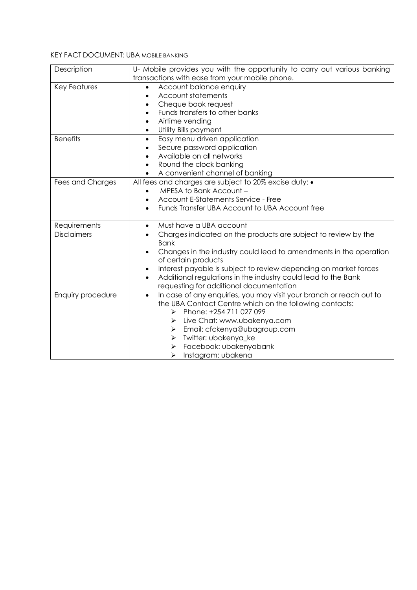#### KEY FACT DOCUMENT: UBA MOBILE BANKING

| Description         | U- Mobile provides you with the opportunity to carry out various banking         |
|---------------------|----------------------------------------------------------------------------------|
|                     | transactions with ease from your mobile phone.                                   |
| <b>Key Features</b> | Account balance enquiry                                                          |
|                     | Account statements                                                               |
|                     | Cheque book request<br>٠                                                         |
|                     | Funds transfers to other banks<br>$\bullet$                                      |
|                     | Airtime vending<br>$\bullet$                                                     |
|                     | Utility Bills payment<br>$\bullet$                                               |
| <b>Benefits</b>     | Easy menu driven application<br>$\bullet$                                        |
|                     | Secure password application                                                      |
|                     | Available on all networks<br>$\bullet$                                           |
|                     | Round the clock banking<br>$\bullet$                                             |
|                     | A convenient channel of banking                                                  |
| Fees and Charges    | All fees and charges are subject to 20% excise duty: .                           |
|                     | MPESA to Bank Account -<br>$\bullet$                                             |
|                     | Account E-Statements Service - Free                                              |
|                     | Funds Transfer UBA Account to UBA Account free<br>$\bullet$                      |
|                     |                                                                                  |
| Requirements        | Must have a UBA account<br>$\bullet$                                             |
| <b>Disclaimers</b>  | Charges indicated on the products are subject to review by the<br>$\bullet$      |
|                     | <b>Bank</b>                                                                      |
|                     | Changes in the industry could lead to amendments in the operation<br>$\bullet$   |
|                     | of certain products                                                              |
|                     | Interest payable is subject to review depending on market forces<br>$\bullet$    |
|                     | Additional regulations in the industry could lead to the Bank<br>$\bullet$       |
|                     | requesting for additional documentation                                          |
| Enquiry procedure   | In case of any enquiries, you may visit your branch or reach out to<br>$\bullet$ |
|                     | the UBA Contact Centre which on the following contacts:                          |
|                     | Phone: +254 711 027 099<br>⋗                                                     |
|                     | Live Chat: www.ubakenya.com<br>⋗                                                 |
|                     | Email: cfckenya@ubagroup.com<br>⋗                                                |
|                     | Twitter: ubakenya_ke<br>➤                                                        |
|                     | Facebook: ubakenyabank<br>➤                                                      |
|                     | Instagram: ubakena<br>➤                                                          |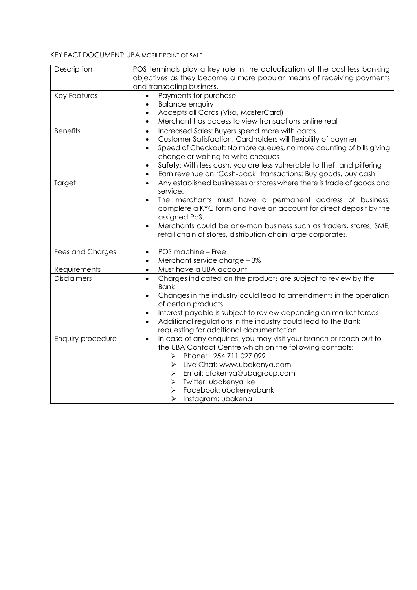#### KEY FACT DOCUMENT: UBA MOBILE POINT OF SALE

| Description        | POS terminals play a key role in the actualization of the cashless banking                      |
|--------------------|-------------------------------------------------------------------------------------------------|
|                    | objectives as they become a more popular means of receiving payments                            |
|                    | and transacting business.                                                                       |
| Key Features       | Payments for purchase                                                                           |
|                    | <b>Balance enquiry</b><br>$\bullet$                                                             |
|                    | Accepts all Cards (Visa, MasterCard)<br>$\bullet$                                               |
|                    | Merchant has access to view transactions online real<br>$\bullet$                               |
| <b>Benefits</b>    | Increased Sales: Buyers spend more with cards<br>$\bullet$                                      |
|                    | Customer Satisfaction: Cardholders will flexibility of payment<br>$\bullet$                     |
|                    | Speed of Checkout: No more queues, no more counting of bills giving<br>$\bullet$                |
|                    | change or waiting to write cheques                                                              |
|                    | Safety: With less cash, you are less vulnerable to theft and pilfering<br>$\bullet$             |
|                    | Earn revenue on 'Cash-back' transactions: Buy goods, buy cash<br>$\bullet$                      |
| Target             | Any established businesses or stores where there is trade of goods and<br>$\bullet$<br>service. |
|                    | The merchants must have a permanent address of business,                                        |
|                    | complete a KYC form and have an account for direct deposit by the                               |
|                    | assigned PoS.                                                                                   |
|                    | Merchants could be one-man business such as traders, stores, SME,<br>$\bullet$                  |
|                    | retail chain of stores, distribution chain large corporates.                                    |
|                    |                                                                                                 |
| Fees and Charges   | POS machine - Free<br>$\bullet$                                                                 |
|                    | Merchant service charge - 3%<br>$\bullet$                                                       |
| Requirements       | Must have a UBA account<br>$\bullet$                                                            |
| <b>Disclaimers</b> | Charges indicated on the products are subject to review by the<br>$\bullet$                     |
|                    | <b>Bank</b>                                                                                     |
|                    | Changes in the industry could lead to amendments in the operation<br>$\bullet$                  |
|                    | of certain products                                                                             |
|                    | Interest payable is subject to review depending on market forces<br>$\bullet$                   |
|                    | Additional regulations in the industry could lead to the Bank<br>$\bullet$                      |
|                    | requesting for additional documentation                                                         |
| Enquiry procedure  | In case of any enquiries, you may visit your branch or reach out to<br>$\bullet$                |
|                    | the UBA Contact Centre which on the following contacts:                                         |
|                    | Phone: +254 711 027 099<br>➤                                                                    |
|                    | Live Chat: www.ubakenya.com<br>➤                                                                |
|                    | Email: cfckenya@ubagroup.com<br>➤                                                               |
|                    | Twitter: ubakenya_ke<br>➤                                                                       |
|                    | Facebook: ubakenyabank<br>➤                                                                     |
|                    | Instagram: ubakena<br>⋗                                                                         |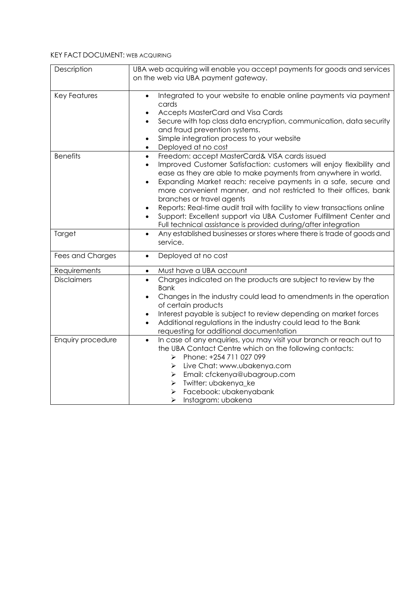#### KEY FACT DOCUMENT: WEB ACQUIRING

| Description         | UBA web acquiring will enable you accept payments for goods and services<br>on the web via UBA payment gateway.                                                                                                                                                                                                                                                                                                                                                                                                                                                                                                                                  |
|---------------------|--------------------------------------------------------------------------------------------------------------------------------------------------------------------------------------------------------------------------------------------------------------------------------------------------------------------------------------------------------------------------------------------------------------------------------------------------------------------------------------------------------------------------------------------------------------------------------------------------------------------------------------------------|
| <b>Key Features</b> | Integrated to your website to enable online payments via payment<br>$\bullet$<br>cards<br>Accepts MasterCard and Visa Cards<br>Secure with top class data encryption, communication, data security<br>$\bullet$<br>and fraud prevention systems.<br>Simple integration process to your website<br>$\bullet$<br>Deployed at no cost<br>$\bullet$                                                                                                                                                                                                                                                                                                  |
| <b>Benefits</b>     | Freedom: accept MasterCard& VISA cards issued<br>$\bullet$<br>Improved Customer Satisfaction: customers will enjoy flexibility and<br>$\bullet$<br>ease as they are able to make payments from anywhere in world.<br>Expanding Market reach: receive payments in a safe, secure and<br>$\bullet$<br>more convenient manner, and not restricted to their offices, bank<br>branches or travel agents<br>Reports: Real-time audit trail with facility to view transactions online<br>$\bullet$<br>Support: Excellent support via UBA Customer Fulfillment Center and<br>$\bullet$<br>Full technical assistance is provided during/after integration |
| Target              | Any established businesses or stores where there is trade of goods and<br>$\bullet$<br>service.                                                                                                                                                                                                                                                                                                                                                                                                                                                                                                                                                  |
| Fees and Charges    | Deployed at no cost<br>$\bullet$                                                                                                                                                                                                                                                                                                                                                                                                                                                                                                                                                                                                                 |
| Requirements        | Must have a UBA account<br>$\bullet$                                                                                                                                                                                                                                                                                                                                                                                                                                                                                                                                                                                                             |
| <b>Disclaimers</b>  | Charges indicated on the products are subject to review by the<br>$\bullet$<br><b>Bank</b><br>Changes in the industry could lead to amendments in the operation<br>$\bullet$<br>of certain products<br>Interest payable is subject to review depending on market forces<br>$\bullet$<br>Additional regulations in the industry could lead to the Bank<br>$\bullet$<br>requesting for additional documentation                                                                                                                                                                                                                                    |
| Enquiry procedure   | In case of any enquiries, you may visit your branch or reach out to<br>$\bullet$<br>the UBA Contact Centre which on the following contacts:<br>Phone: +254 711 027 099<br>$\blacktriangleright$<br>Live Chat: www.ubakenya.com<br>➤<br>Email: cfckenya@ubagroup.com<br>➤<br>Twitter: ubakenya_ke<br>➤<br>Facebook: ubakenyabank<br>➤<br>Instagram: ubakena<br>⋗                                                                                                                                                                                                                                                                                  |